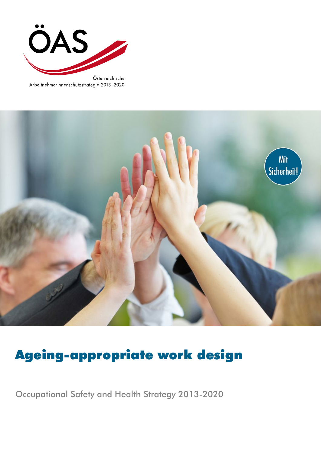

ArbeitnehmerInnenschutzstrategie 2013-2020



# Ageing-appropriate work design

Occupational Safety and Health Strategy 2013-2020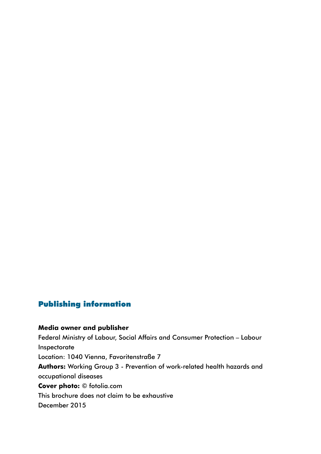### Publishing information

# **Media owner and publisher** Federal Ministry of Labour, Social Affairs and Consumer Protection – Labour Inspectorate Location: 1040 Vienna, Favoritenstraße 7 **Authors:** Working Group 3 - Prevention of work-related health hazards and occupational diseases **Cover photo:** © fotolia.com This brochure does not claim to be exhaustive December 2015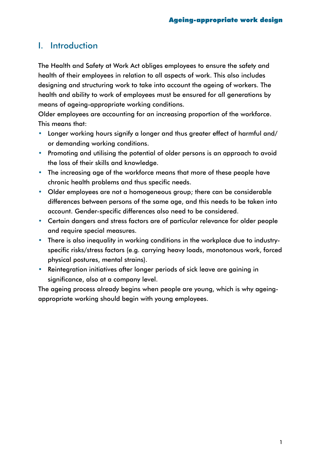# I. Introduction

The Health and Safety at Work Act obliges employees to ensure the safety and health of their employees in relation to all aspects of work. This also includes designing and structuring work to take into account the ageing of workers. The health and ability to work of employees must be ensured for all generations by means of ageing-appropriate working conditions.

Older employees are accounting for an increasing proportion of the workforce. This means that:

- Longer working hours signify a longer and thus greater effect of harmful and/ or demanding working conditions.
- Promoting and utilising the potential of older persons is an approach to avoid the loss of their skills and knowledge.
- The increasing age of the workforce means that more of these people have chronic health problems and thus specific needs.
- Older employees are not a homogeneous group; there can be considerable differences between persons of the same age, and this needs to be taken into account. Gender-specific differences also need to be considered.
- Certain dangers and stress factors are of particular relevance for older people and require special measures.
- There is also inequality in working conditions in the workplace due to industryspecific risks/stress factors (e.g. carrying heavy loads, monotonous work, forced physical postures, mental strains).
- Reintegration initiatives after longer periods of sick leave are gaining in significance, also at a company level.

The ageing process already begins when people are young, which is why ageingappropriate working should begin with young employees.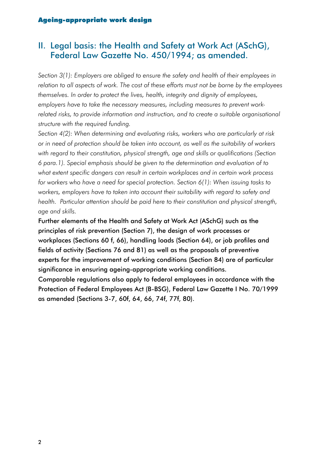## II. Legal basis: the Health and Safety at Work Act (ASchG), Federal Law Gazette No. 450/1994; as amended.

*Section 3(1): Employers are obliged to ensure the safety and health of their employees in relation to all aspects of work. The cost of these efforts must not be borne by the employees themselves. In order to protect the lives, health, integrity and dignity of employees, employers have to take the necessary measures, including measures to prevent workrelated risks, to provide information and instruction, and to create a suitable organisational structure with the required funding.*

*Section 4(2): When determining and evaluating risks, workers who are particularly at risk or in need of protection should be taken into account, as well as the suitability of workers with regard to their constitution, physical strength, age and skills or qualifications (Section 6 para.1). Special emphasis should be given to the determination and evaluation of to what extent specific dangers can result in certain workplaces and in certain work process for workers who have a need for special protection. Section 6(1): When issuing tasks to workers, employers have to taken into account their suitability with regard to safety and health. Particular attention should be paid here to their constitution and physical strength, age and skills.*

Further elements of the Health and Safety at Work Act (ASchG) such as the principles of risk prevention (Section 7), the design of work processes or workplaces (Sections 60 f, 66), handling loads (Section 64), or job profiles and fields of activity (Sections 76 and 81) as well as the proposals of preventive experts for the improvement of working conditions (Section 84) are of particular significance in ensuring ageing-appropriate working conditions.

Comparable regulations also apply to federal employees in accordance with the Protection of Federal Employees Act (B-BSG), Federal Law Gazette I No. 70/1999 as amended (Sections 3-7, 60f, 64, 66, 74f, 77f, 80).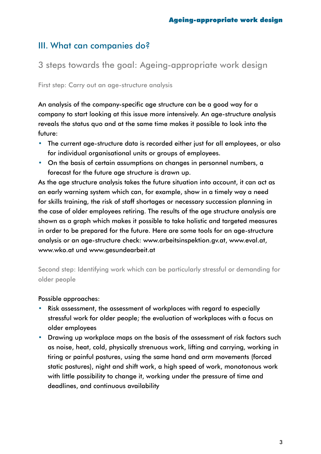# III. What can companies do?

3 steps towards the goal: Ageing-appropriate work design

First step: Carry out an age-structure analysis

An analysis of the company-specific age structure can be a good way for a company to start looking at this issue more intensively. An age-structure analysis reveals the status quo and at the same time makes it possible to look into the future:

- The current age-structure data is recorded either just for all employees, or also for individual organisational units or groups of employees.
- On the basis of certain assumptions on changes in personnel numbers, a forecast for the future age structure is drawn up.

As the age structure analysis takes the future situation into account, it can act as an early warning system which can, for example, show in a timely way a need for skills training, the risk of staff shortages or necessary succession planning in the case of older employees retiring. The results of the age structure analysis are shown as a graph which makes it possible to take holistic and targeted measures in order to be prepared for the future. Here are some tools for an age-structure analysis or an age-structure check: [www.arbeitsinspektion.gv.at](http://www.arbeitsinspektion.gv.at), [www.eval.at,](http://www.eval.at) [www.wko.at](http://www.wko.at) und [www.gesundearbeit.at](http://www.gesundearbeit.at)

Second step: Identifying work which can be particularly stressful or demanding for older people

#### Possible approaches:

- Risk assessment, the assessment of workplaces with regard to especially stressful work for older people; the evaluation of workplaces with a focus on older employees
- Drawing up workplace maps on the basis of the assessment of risk factors such as noise, heat, cold, physically strenuous work, lifting and carrying, working in tiring or painful postures, using the same hand and arm movements (forced static postures), night and shift work, a high speed of work, monotonous work with little possibility to change it, working under the pressure of time and deadlines, and continuous availability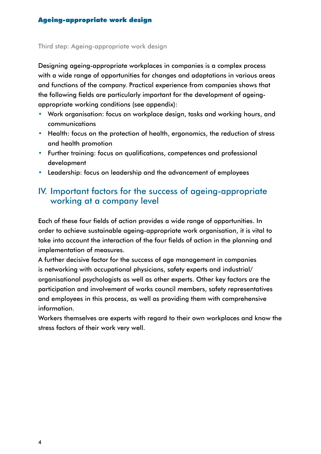#### Third step: Ageing-appropriate work design

Designing ageing-appropriate workplaces in companies is a complex process with a wide range of opportunities for changes and adaptations in various areas and functions of the company. Practical experience from companies shows that the following fields are particularly important for the development of ageingappropriate working conditions (see appendix):

- Work organisation: focus on workplace design, tasks and working hours, and communications
- Health: focus on the protection of health, ergonomics, the reduction of stress and health promotion
- Further training: focus on qualifications, competences and professional development
- Leadership: focus on leadership and the advancement of employees

### IV. Important factors for the success of ageing-appropriate working at a company level

Each of these four fields of action provides a wide range of opportunities. In order to achieve sustainable ageing-appropriate work organisation, it is vital to take into account the interaction of the four fields of action in the planning and implementation of measures.

A further decisive factor for the success of age management in companies is networking with occupational physicians, safety experts and industrial/ organisational psychologists as well as other experts. Other key factors are the participation and involvement of works council members, safety representatives and employees in this process, as well as providing them with comprehensive information.

Workers themselves are experts with regard to their own workplaces and know the stress factors of their work very well.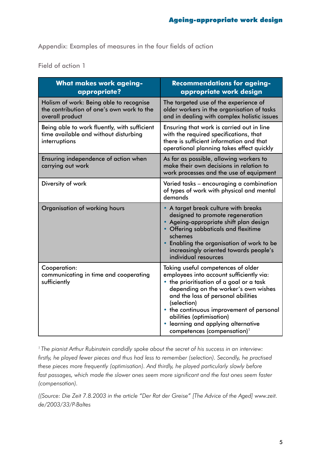Appendix: Examples of measures in the four fields of action

Field of action 1

| <b>What makes work ageing-</b><br>appropriate?                                                          | <b>Recommendations for ageing-</b><br>appropriate work design                                                                                                                                                                                                                                                                                                                   |
|---------------------------------------------------------------------------------------------------------|---------------------------------------------------------------------------------------------------------------------------------------------------------------------------------------------------------------------------------------------------------------------------------------------------------------------------------------------------------------------------------|
| Holism of work: Being able to recognise<br>the contribution of one's own work to the<br>overall product | The targeted use of the experience of<br>older workers in the organisation of tasks<br>and in dealing with complex holistic issues                                                                                                                                                                                                                                              |
| Being able to work fluently, with sufficient<br>time available and without disturbing<br>interruptions  | Ensuring that work is carried out in line<br>with the required specifications, that<br>there is sufficient information and that<br>operational planning takes effect quickly                                                                                                                                                                                                    |
| Ensuring independence of action when<br>carrying out work                                               | As far as possible, allowing workers to<br>make their own decisions in relation to<br>work processes and the use of equipment                                                                                                                                                                                                                                                   |
| Diversity of work                                                                                       | Varied tasks - encouraging a combination<br>of types of work with physical and mental<br>demands                                                                                                                                                                                                                                                                                |
| Organisation of working hours                                                                           | • A target break culture with breaks<br>designed to promote regeneration<br>• Ageing-appropriate shift plan design<br>• Offering sabbaticals and flexitime<br>schemes<br>• Enabling the organisation of work to be<br>increasingly oriented towards people's<br>individual resources                                                                                            |
| Cooperation:<br>communicating in time and cooperating<br>sufficiently                                   | Taking useful competences of older<br>employees into account sufficiently via:<br>• the prioritisation of a goal or a task<br>depending on the worker's own wishes<br>and the loss of personal abilities<br>(selection)<br>• the continuous improvement of personal<br>abilities (optimisation)<br>learning and applying alternative<br>competences (compensation) <sup>1</sup> |

*1 The pianist Arthur Rubinstein candidly spoke about the secret of his success in an interview: firstly, he played fewer pieces and thus had less to remember (selection). Secondly, he practised these pieces more frequently (optimisation). And thirdly, he played particularly slowly before fast passages, which made the slower ones seem more significant and the fast ones seem faster (compensation).*

*((Source: Die Zeit 7.8.2003 in the article "Der Rat der Greise" [The Advice of the Aged] [www.zeit.](http://www.zeit.de/2003/33/P-Baltes) [de/2003/33/P-Baltes](http://www.zeit.de/2003/33/P-Baltes)*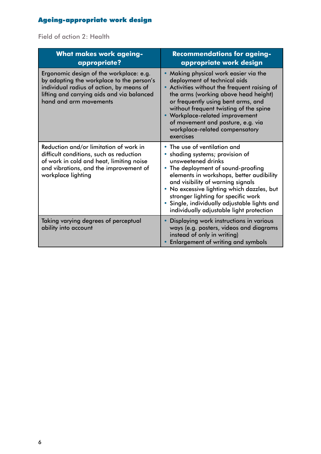# Ageing-appropriate work design

Field of action 2: Health

| <b>What makes work ageing-</b><br>appropriate?                                                                                                                                                           | <b>Recommendations for ageing-</b><br>appropriate work design                                                                                                                                                                                                                                                                                                                             |
|----------------------------------------------------------------------------------------------------------------------------------------------------------------------------------------------------------|-------------------------------------------------------------------------------------------------------------------------------------------------------------------------------------------------------------------------------------------------------------------------------------------------------------------------------------------------------------------------------------------|
| Ergonomic design of the workplace: e.g.<br>by adapting the workplace to the person's<br>individual radius of action, by means of<br>lifting and carrying aids and via balanced<br>hand and arm movements | • Making physical work easier via the<br>deployment of technical aids<br>• Activities without the frequent raising of<br>the arms (working above head height)<br>or frequently using bent arms, and<br>without frequent twisting of the spine<br>• Workplace-related improvement<br>of movement and posture, e.g. via<br>workplace-related compensatory<br>exercises                      |
| Reduction and/or limitation of work in<br>difficult conditions, such as reduction<br>of work in cold and heat, limiting noise<br>and vibrations, and the improvement of<br>workplace lighting            | • The use of ventilation and<br>• shading systems; provision of<br>unsweetened drinks<br>• The deployment of sound-proofing<br>elements in workshops, better audibility<br>and visibility of warning signals<br>No excessive lighting which dazzles, but<br>stronger lighting for specific work<br>Single, individually adjustable lights and<br>individually adjustable light protection |
| Taking varying degrees of perceptual<br>ability into account                                                                                                                                             | Displaying work instructions in various<br>ways (e.g. posters, videos and diagrams<br>instead of only in writing)<br><b>Enlargement of writing and symbols</b>                                                                                                                                                                                                                            |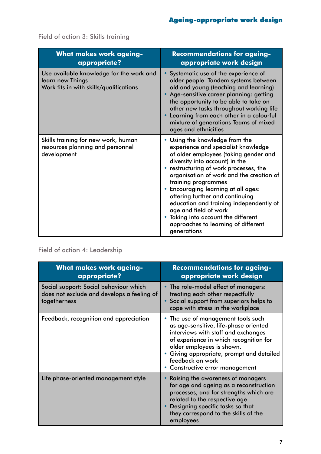| <b>What makes work ageing-</b><br>appropriate?                                                          | <b>Recommendations for ageing-</b><br>appropriate work design                                                                                                                                                                                                                                                                                                                                                                                                                                             |
|---------------------------------------------------------------------------------------------------------|-----------------------------------------------------------------------------------------------------------------------------------------------------------------------------------------------------------------------------------------------------------------------------------------------------------------------------------------------------------------------------------------------------------------------------------------------------------------------------------------------------------|
| Use available knowledge for the work and<br>learn new Things<br>Work fits in with skills/qualifications | • Systematic use of the experience of<br>older people Tandem systems between<br>old and young (teaching and learning)<br>Age-sensitive career planning: getting<br>the opportunity to be able to take on<br>other new tasks throughout working life<br>Learning from each other in a colourful<br>mixture of generations Teams of mixed<br>ages and ethnicities                                                                                                                                           |
| Skills training for new work, human<br>resources planning and personnel<br>development                  | • Using the knowledge from the<br>experience and specialist knowledge<br>of older employees (taking gender and<br>diversity into account) in the<br>restructuring of work processes, the<br>organisation of work and the creation of<br>training programmes<br><b>Encouraging learning at all ages:</b><br>offering further and continuing<br>education and training independently of<br>age and field of work<br>Taking into account the different<br>approaches to learning of different<br>generations |

Field of action 3: Skills training

## Field of action 4: Leadership

| <b>What makes work ageing-</b><br>appropriate?                                                       | <b>Recommendations for ageing-</b><br>appropriate work design                                                                                                                                                                                                                             |
|------------------------------------------------------------------------------------------------------|-------------------------------------------------------------------------------------------------------------------------------------------------------------------------------------------------------------------------------------------------------------------------------------------|
| Social support: Social behaviour which<br>does not exclude and develops a feeling of<br>togetherness | • The role-model effect of managers:<br>treating each other respectfully<br>Social support from superiors helps to<br>cope with stress in the workplace                                                                                                                                   |
| Feedback, recognition and appreciation                                                               | • The use of management tools such<br>as age-sensitive, life-phase oriented<br>interviews with staff and exchanges<br>of experience in which recognition for<br>older employees is shown.<br>Giving appropriate, prompt and detailed<br>feedback on work<br>Constructive error management |
| Life phase-oriented management style                                                                 | Raising the awareness of managers<br>for age and ageing as a reconstruction<br>processes, and for strengths which are<br>related to the respective age<br>Designing specific tasks so that<br>they correspond to the skills of the<br>employees                                           |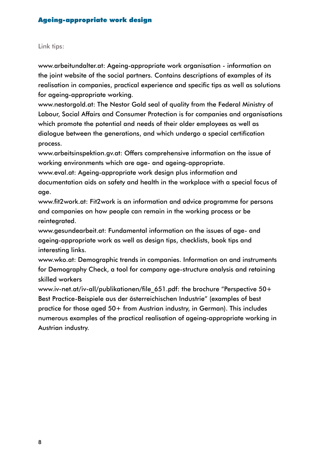#### Link tips:

[www.arbeitundalter.at](http://www.arbeitundalter.at): Ageing-appropriate work organisation - information on the joint website of the social partners. Contains descriptions of examples of its realisation in companies, practical experience and specific tips as well as solutions for ageing-appropriate working.

[www.nestorgold.at:](http://www.nestorgold.at) The Nestor Gold seal of quality from the Federal Ministry of Labour, Social Affairs and Consumer Protection is for companies and organisations which promote the potential and needs of their older employees as well as dialogue between the generations, and which undergo a special certification process.

[www.arbeitsinspektion.gv.at](http://www.arbeitsinspektion.gv.at): Offers comprehensive information on the issue of working environments which are age- and ageing-appropriate.

[www.eval.at](http://www.eval.at): Ageing-appropriate work design plus information and documentation aids on safety and health in the workplace with a special focus of age.

[www.fit2work.at](http://www.fit2work.at): Fit2work is an information and advice programme for persons and companies on how people can remain in the working process or be reintegrated.

[www.gesundearbeit.at](http://www.gesundearbeit.at): Fundamental information on the issues of age- and ageing-appropriate work as well as design tips, checklists, book tips and interesting links.

[www.wko.at](http://www.wko.at): Demographic trends in companies. Information on and instruments for Demography Check, a tool for company age-structure analysis and retaining skilled workers

www.iv-net.at/iv-all/publikationen/file 651.pdf: the brochure "Perspective 50+ Best Practice-Beispiele aus der österreichischen Industrie" (examples of best practice for those aged 50+ from Austrian industry, in German). This includes numerous examples of the practical realisation of ageing-appropriate working in Austrian industry.